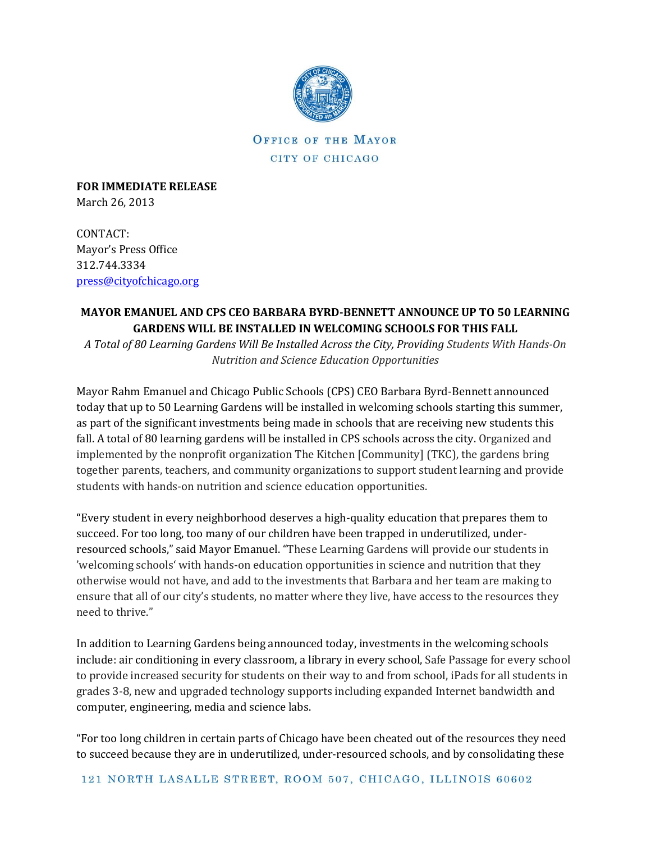

## OFFICE OF THE MAYOR CITY OF CHICAGO

**FOR IMMEDIATE RELEASE** March 26, 2013

CONTACT: Mayor's Press Office 312.744.3334 [press@cityofchicago.org](mailto:press@cityofchicago.org)

## **MAYOR EMANUEL AND CPS CEO BARBARA BYRD-BENNETT ANNOUNCE UP TO 50 LEARNING GARDENS WILL BE INSTALLED IN WELCOMING SCHOOLS FOR THIS FALL**

*A Total of 80 Learning Gardens Will Be Installed Across the City, Providing Students With Hands-On Nutrition and Science Education Opportunities*

Mayor Rahm Emanuel and Chicago Public Schools (CPS) CEO Barbara Byrd-Bennett announced today that up to 50 Learning Gardens will be installed in welcoming schools starting this summer, as part of the significant investments being made in schools that are receiving new students this fall. A total of 80 learning gardens will be installed in CPS schools across the city. Organized and implemented by the nonprofit organization The Kitchen [Community] (TKC), the gardens bring together parents, teachers, and community organizations to support student learning and provide students with hands-on nutrition and science education opportunities.

"Every student in every neighborhood deserves a high-quality education that prepares them to succeed. For too long, too many of our children have been trapped in underutilized, underresourced schools," said Mayor Emanuel. "These Learning Gardens will provide our students in 'welcoming schools' with hands-on education opportunities in science and nutrition that they otherwise would not have, and add to the investments that Barbara and her team are making to ensure that all of our city's students, no matter where they live, have access to the resources they need to thrive."

In addition to Learning Gardens being announced today, investments in the welcoming schools include: air conditioning in every classroom, a library in every school, Safe Passage for every school to provide increased security for students on their way to and from school, iPads for all students in grades 3-8, new and upgraded technology supports including expanded Internet bandwidth and computer, engineering, media and science labs.

"For too long children in certain parts of Chicago have been cheated out of the resources they need to succeed because they are in underutilized, under-resourced schools, and by consolidating these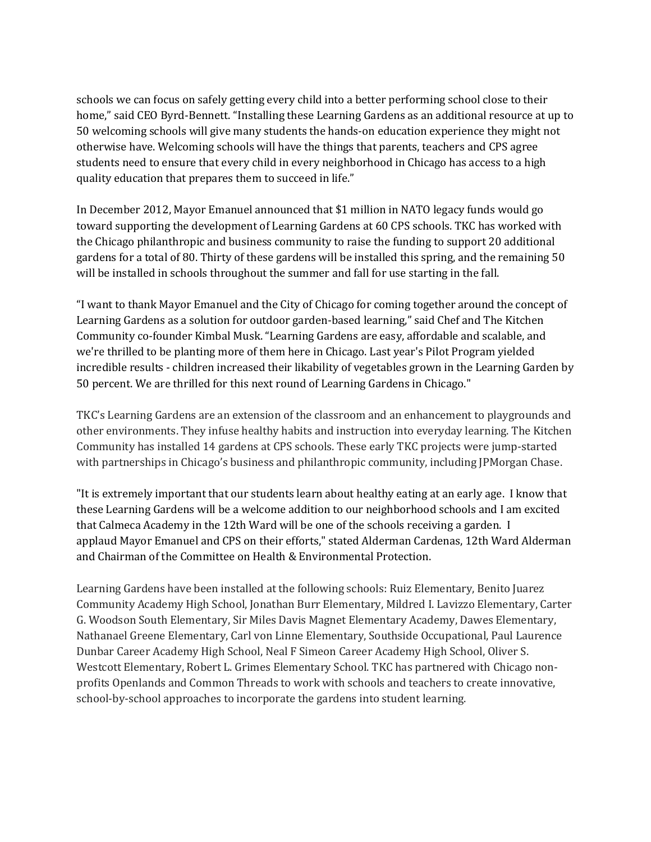schools we can focus on safely getting every child into a better performing school close to their home," said CEO Byrd-Bennett. "Installing these Learning Gardens as an additional resource at up to 50 welcoming schools will give many students the hands-on education experience they might not otherwise have. Welcoming schools will have the things that parents, teachers and CPS agree students need to ensure that every child in every neighborhood in Chicago has access to a high quality education that prepares them to succeed in life."

In December 2012, Mayor Emanuel announced that \$1 million in NATO legacy funds would go toward supporting the development of Learning Gardens at 60 CPS schools. TKC has worked with the Chicago philanthropic and business community to raise the funding to support 20 additional gardens for a total of 80. Thirty of these gardens will be installed this spring, and the remaining 50 will be installed in schools throughout the summer and fall for use starting in the fall.

"I want to thank Mayor Emanuel and the City of Chicago for coming together around the concept of Learning Gardens as a solution for outdoor garden-based learning," said Chef and The Kitchen Community co-founder Kimbal Musk. "Learning Gardens are easy, affordable and scalable, and we're thrilled to be planting more of them here in Chicago. Last year's Pilot Program yielded incredible results - children increased their likability of vegetables grown in the Learning Garden by 50 percent. We are thrilled for this next round of Learning Gardens in Chicago."

TKC's Learning Gardens are an extension of the classroom and an enhancement to playgrounds and other environments. They infuse healthy habits and instruction into everyday learning. The Kitchen Community has installed 14 gardens at CPS schools. These early TKC projects were jump-started with partnerships in Chicago's business and philanthropic community, including JPMorgan Chase.

"It is extremely important that our students learn about healthy eating at an early age. I know that these Learning Gardens will be a welcome addition to our neighborhood schools and I am excited that Calmeca Academy in the 12th Ward will be one of the schools receiving a garden. I applaud Mayor Emanuel and CPS on their efforts," stated Alderman Cardenas, 12th Ward Alderman and Chairman of the Committee on Health & Environmental Protection.

Learning Gardens have been installed at the following schools: Ruiz Elementary, Benito Juarez Community Academy High School, Jonathan Burr Elementary, Mildred I. Lavizzo Elementary, Carter G. Woodson South Elementary, Sir Miles Davis Magnet Elementary Academy, Dawes Elementary, Nathanael Greene Elementary, Carl von Linne Elementary, Southside Occupational, Paul Laurence Dunbar Career Academy High School, Neal F Simeon Career Academy High School, Oliver S. Westcott Elementary, Robert L. Grimes Elementary School. TKC has partnered with Chicago nonprofits Openlands and Common Threads to work with schools and teachers to create innovative, school-by-school approaches to incorporate the gardens into student learning.